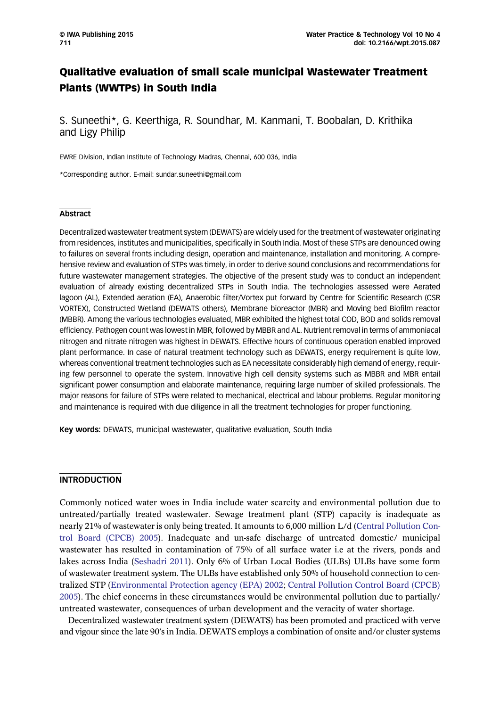# Qualitative evaluation of small scale municipal Wastewater Treatment Plants (WWTPs) in South India

S. Suneethi\*, G. Keerthiga, R. Soundhar, M. Kanmani, T. Boobalan, D. Krithika and Ligy Philip

EWRE Division, Indian Institute of Technology Madras, Chennai, 600 036, India

\*Corresponding author. E-mail: sundar.suneethi@gmail.com

## Abstract

Decentralized wastewater treatment system (DEWATS) are widely used for the treatment of wastewater originating from residences, institutes and municipalities, specifically in South India. Most of these STPs are denounced owing to failures on several fronts including design, operation and maintenance, installation and monitoring. A comprehensive review and evaluation of STPs was timely, in order to derive sound conclusions and recommendations for future wastewater management strategies. The objective of the present study was to conduct an independent evaluation of already existing decentralized STPs in South India. The technologies assessed were Aerated lagoon (AL), Extended aeration (EA), Anaerobic filter/Vortex put forward by Centre for Scientific Research (CSR VORTEX), Constructed Wetland (DEWATS others), Membrane bioreactor (MBR) and Moving bed Biofilm reactor (MBBR). Among the various technologies evaluated, MBR exhibited the highest total COD, BOD and solids removal efficiency. Pathogen count was lowest in MBR, followed by MBBR and AL. Nutrient removal in terms of ammoniacal nitrogen and nitrate nitrogen was highest in DEWATS. Effective hours of continuous operation enabled improved plant performance. In case of natural treatment technology such as DEWATS, energy requirement is quite low, whereas conventional treatment technologies such as EA necessitate considerably high demand of energy, requiring few personnel to operate the system. Innovative high cell density systems such as MBBR and MBR entail significant power consumption and elaborate maintenance, requiring large number of skilled professionals. The major reasons for failure of STPs were related to mechanical, electrical and labour problems. Regular monitoring and maintenance is required with due diligence in all the treatment technologies for proper functioning.

Key words: DEWATS, municipal wastewater, qualitative evaluation, South India

# **INTRODUCTION**

Commonly noticed water woes in India include water scarcity and environmental pollution due to untreated/partially treated wastewater. Sewage treatment plant (STP) capacity is inadequate as nearly 21% of wastewater is only being treated. It amounts to 6,000 million L/d (Central Pollution Control Board (CPCB) 2005). Inadequate and un-safe discharge of untreated domestic/ municipal wastewater has resulted in contamination of 75% of all surface water i.e at the rivers, ponds and lakes across India (Seshadri 2011). Only 6% of Urban Local Bodies (ULBs) ULBs have some form of wastewater treatment system. The ULBs have established only 50% of household connection to centralized STP (Environmental Protection agency (EPA) 2002; Central Pollution Control Board (CPCB) 2005). The chief concerns in these circumstances would be environmental pollution due to partially/ untreated wastewater, consequences of urban development and the veracity of water shortage.

Decentralized wastewater treatment system (DEWATS) has been promoted and practiced with verve and vigour since the late 90's in India. DEWATS employs a combination of onsite and/or cluster systems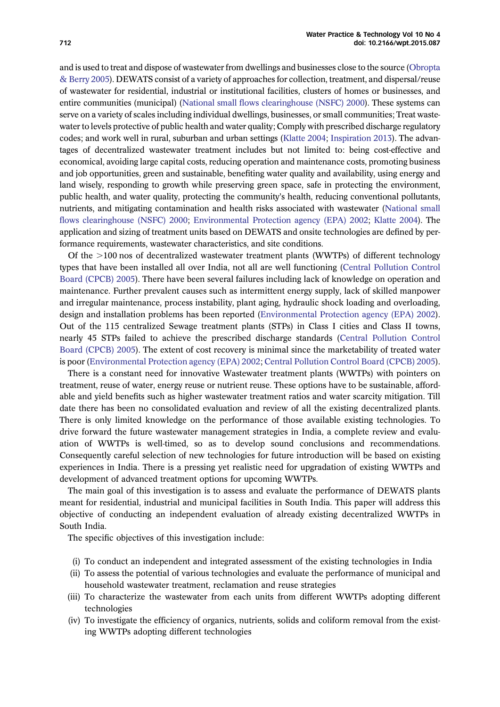and is used to treat and dispose of wastewater from dwellings and businesses close to the source (Obropta & Berry 2005). DEWATS consist of a variety of approaches for collection, treatment, and dispersal/reuse of wastewater for residential, industrial or institutional facilities, clusters of homes or businesses, and entire communities (municipal) (National small flows clearinghouse (NSFC) 2000). These systems can serve on a variety of scales including individual dwellings, businesses, or small communities; Treat wastewater to levels protective of public health and water quality; Comply with prescribed discharge regulatory codes; and work well in rural, suburban and urban settings (Klatte 2004; Inspiration 2013). The advantages of decentralized wastewater treatment includes but not limited to: being cost-effective and economical, avoiding large capital costs, reducing operation and maintenance costs, promoting business and job opportunities, green and sustainable, benefiting water quality and availability, using energy and land wisely, responding to growth while preserving green space, safe in protecting the environment, public health, and water quality, protecting the community's health, reducing conventional pollutants, nutrients, and mitigating contamination and health risks associated with wastewater (National small flows clearinghouse (NSFC) 2000; Environmental Protection agency (EPA) 2002; Klatte 2004). The application and sizing of treatment units based on DEWATS and onsite technologies are defined by performance requirements, wastewater characteristics, and site conditions.

Of the  $>100$  nos of decentralized wastewater treatment plants (WWTPs) of different technology types that have been installed all over India, not all are well functioning (Central Pollution Control Board (CPCB) 2005). There have been several failures including lack of knowledge on operation and maintenance. Further prevalent causes such as intermittent energy supply, lack of skilled manpower and irregular maintenance, process instability, plant aging, hydraulic shock loading and overloading, design and installation problems has been reported (Environmental Protection agency (EPA) 2002). Out of the 115 centralized Sewage treatment plants (STPs) in Class I cities and Class II towns, nearly 45 STPs failed to achieve the prescribed discharge standards (Central Pollution Control Board (CPCB) 2005). The extent of cost recovery is minimal since the marketability of treated water is poor (Environmental Protection agency (EPA) 2002; Central Pollution Control Board (CPCB) 2005).

There is a constant need for innovative Wastewater treatment plants (WWTPs) with pointers on treatment, reuse of water, energy reuse or nutrient reuse. These options have to be sustainable, affordable and yield benefits such as higher wastewater treatment ratios and water scarcity mitigation. Till date there has been no consolidated evaluation and review of all the existing decentralized plants. There is only limited knowledge on the performance of those available existing technologies. To drive forward the future wastewater management strategies in India, a complete review and evaluation of WWTPs is well-timed, so as to develop sound conclusions and recommendations. Consequently careful selection of new technologies for future introduction will be based on existing experiences in India. There is a pressing yet realistic need for upgradation of existing WWTPs and development of advanced treatment options for upcoming WWTPs.

The main goal of this investigation is to assess and evaluate the performance of DEWATS plants meant for residential, industrial and municipal facilities in South India. This paper will address this objective of conducting an independent evaluation of already existing decentralized WWTPs in South India.

The specific objectives of this investigation include:

- (i) To conduct an independent and integrated assessment of the existing technologies in India
- (ii) To assess the potential of various technologies and evaluate the performance of municipal and household wastewater treatment, reclamation and reuse strategies
- (iii) To characterize the wastewater from each units from different WWTPs adopting different technologies
- (iv) To investigate the efficiency of organics, nutrients, solids and coliform removal from the existing WWTPs adopting different technologies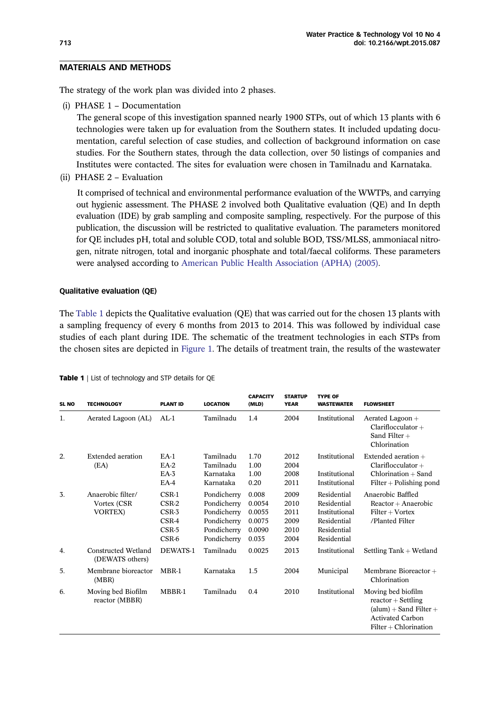# MATERIALS AND METHODS

The strategy of the work plan was divided into 2 phases.

(i) PHASE 1 – Documentation

The general scope of this investigation spanned nearly 1900 STPs, out of which 13 plants with 6 technologies were taken up for evaluation from the Southern states. It included updating documentation, careful selection of case studies, and collection of background information on case studies. For the Southern states, through the data collection, over 50 listings of companies and Institutes were contacted. The sites for evaluation were chosen in Tamilnadu and Karnataka.

(ii) PHASE 2 – Evaluation

It comprised of technical and environmental performance evaluation of the WWTPs, and carrying out hygienic assessment. The PHASE 2 involved both Qualitative evaluation (QE) and In depth evaluation (IDE) by grab sampling and composite sampling, respectively. For the purpose of this publication, the discussion will be restricted to qualitative evaluation. The parameters monitored for QE includes pH, total and soluble COD, total and soluble BOD, TSS/MLSS, ammoniacal nitrogen, nitrate nitrogen, total and inorganic phosphate and total/faecal coliforms. These parameters were analysed according to American Public Health Association (APHA) (2005).

## Qualitative evaluation (QE)

The Table 1 depicts the Qualitative evaluation (QE) that was carried out for the chosen 13 plants with a sampling frequency of every 6 months from 2013 to 2014. This was followed by individual case studies of each plant during IDE. The schematic of the treatment technologies in each STPs from the chosen sites are depicted in Figure 1. The details of treatment train, the results of the wastewater

| <b>SLNO</b> | <b>TECHNOLOGY</b>                                 | <b>PLANT ID</b>                                                | <b>LOCATION</b>                                                                        | <b>CAPACITY</b><br>(MLD)                               | <b>STARTUP</b><br><b>YEAR</b>                | <b>TYPE OF</b><br><b>WASTEWATER</b>                                                      | <b>FLOWSHEET</b>                                                                                                            |
|-------------|---------------------------------------------------|----------------------------------------------------------------|----------------------------------------------------------------------------------------|--------------------------------------------------------|----------------------------------------------|------------------------------------------------------------------------------------------|-----------------------------------------------------------------------------------------------------------------------------|
| 1.          | Aerated Lagoon (AL)                               | $AL-1$                                                         | Tamilnadu                                                                              | 1.4                                                    | 2004                                         | Institutional                                                                            | Aerated Lagoon $+$<br>$Clariflocculator +$<br>Sand Filter $+$<br>Chlorination                                               |
| 2.          | Extended aeration<br>(EA)                         | $EA-1$<br>$EA-2$<br>$EA-3$<br>$EA-4$                           | Tamilnadu<br>Tamilnadu<br>Karnataka<br>Karnataka                                       | 1.70<br>1.00<br>1.00<br>0.20                           | 2012<br>2004<br>2008<br>2011                 | Institutional<br>Institutional<br>Institutional                                          | Extended aeration $+$<br>$Clariflocculator +$<br>$Chlorination + Sand$<br>Filter + Polishing pond                           |
| 3.          | Anaerobic filter/<br>Vortex (CSR<br><b>VORTEX</b> | $CSR-1$<br>$CSR-2$<br>$CSR-3$<br>$CSR-4$<br>$CSR-5$<br>$CSR-6$ | Pondicherry<br>Pondicherry<br>Pondicherry<br>Pondicherry<br>Pondicherry<br>Pondicherry | 0.008<br>0.0054<br>0.0055<br>0.0075<br>0.0090<br>0.035 | 2009<br>2010<br>2011<br>2009<br>2010<br>2004 | Residential<br>Residential<br>Institutional<br>Residential<br>Residential<br>Residential | Anaerobic Baffled<br>$Reactor + Anaerobic$<br>$Filter + Vortex$<br>/Planted Filter                                          |
| 4.          | Constructed Wetland<br>(DEWATS others)            | DEWATS-1                                                       | Tamilnadu                                                                              | 0.0025                                                 | 2013                                         | Institutional                                                                            | Settling Tank $+$ Wetland                                                                                                   |
| 5.          | Membrane bioreactor<br>(MBR)                      | $MBR-1$                                                        | Karnataka                                                                              | 1.5                                                    | 2004                                         | Municipal                                                                                | Membrane Bioreactor $+$<br>Chlorination                                                                                     |
| 6.          | Moving bed Biofilm<br>reactor (MBBR)              | MBBR-1                                                         | Tamilnadu                                                                              | 0.4                                                    | 2010                                         | Institutional                                                                            | Moving bed biofilm<br>$reactor + Setting$<br>$(alum) + Sand Filter +$<br><b>Activated Carbon</b><br>$Filter + Chlorination$ |

#### Table 1 | List of technology and STP details for QE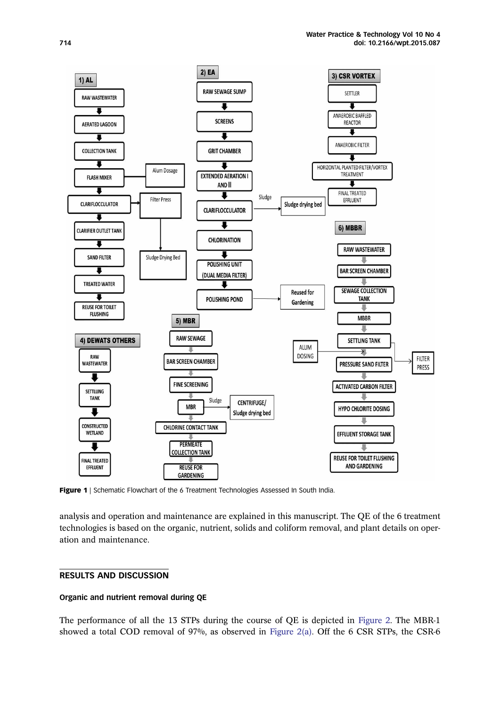

Figure 1 | Schematic Flowchart of the 6 Treatment Technologies Assessed In South India.

analysis and operation and maintenance are explained in this manuscript. The QE of the 6 treatment technologies is based on the organic, nutrient, solids and coliform removal, and plant details on operation and maintenance.

# RESULTS AND DISCUSSION

# Organic and nutrient removal during QE

The performance of all the 13 STPs during the course of QE is depicted in Figure 2. The MBR-1 showed a total COD removal of 97%, as observed in Figure 2(a). Off the 6 CSR STPs, the CSR-6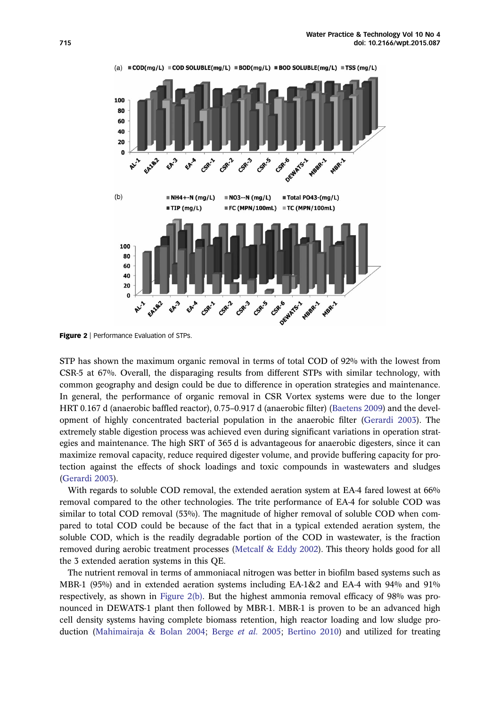

Figure 2 | Performance Evaluation of STPs.

STP has shown the maximum organic removal in terms of total COD of 92% with the lowest from CSR-5 at 67%. Overall, the disparaging results from different STPs with similar technology, with common geography and design could be due to difference in operation strategies and maintenance. In general, the performance of organic removal in CSR Vortex systems were due to the longer HRT 0.167 d (anaerobic baffled reactor), 0.75–0.917 d (anaerobic filter) (Baetens 2009) and the development of highly concentrated bacterial population in the anaerobic filter (Gerardi 2003). The extremely stable digestion process was achieved even during significant variations in operation strategies and maintenance. The high SRT of 365 d is advantageous for anaerobic digesters, since it can maximize removal capacity, reduce required digester volume, and provide buffering capacity for protection against the effects of shock loadings and toxic compounds in wastewaters and sludges (Gerardi 2003).

With regards to soluble COD removal, the extended aeration system at EA-4 fared lowest at 66% removal compared to the other technologies. The trite performance of EA-4 for soluble COD was similar to total COD removal (53%). The magnitude of higher removal of soluble COD when compared to total COD could be because of the fact that in a typical extended aeration system, the soluble COD, which is the readily degradable portion of the COD in wastewater, is the fraction removed during aerobic treatment processes (Metcalf & Eddy 2002). This theory holds good for all the 3 extended aeration systems in this QE.

The nutrient removal in terms of ammoniacal nitrogen was better in biofilm based systems such as MBR-1 (95%) and in extended aeration systems including EA-1&2 and EA-4 with 94% and 91% respectively, as shown in Figure 2(b). But the highest ammonia removal efficacy of 98% was pronounced in DEWATS-1 plant then followed by MBR-1. MBR-1 is proven to be an advanced high cell density systems having complete biomass retention, high reactor loading and low sludge production (Mahimairaja & Bolan 2004; Berge *et al.* 2005; Bertino 2010) and utilized for treating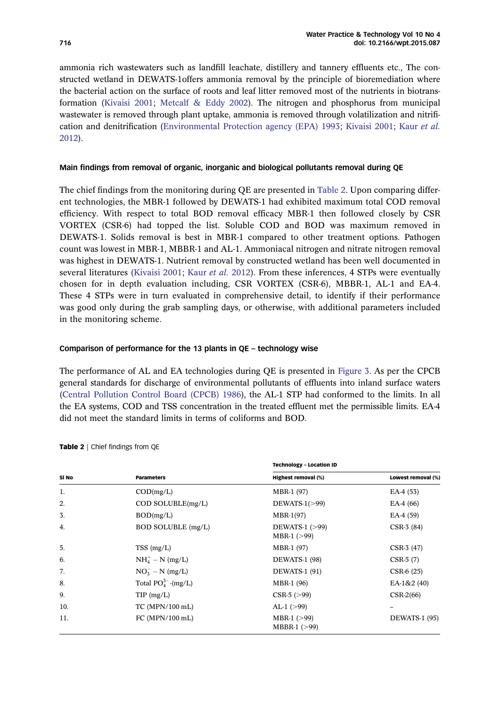ammonia rich wastewaters such as landfill leachate, distillery and tannery effluents etc., The constructed wetland in DEWATS-1offers ammonia removal by the principle of bioremediation where the bacterial action on the surface of roots and leaf litter removed most of the nutrients in biotransformation (Kivaisi 2001; Metcalf & Eddy 2002). The nitrogen and phosphorus from municipal wastewater is removed through plant uptake, ammonia is removed through volatilization and nitrification and denitrification (Environmental Protection agency (EPA) 1993; Kivaisi 2001; Kaur *et al.* 2012).

# Main findings from removal of organic, inorganic and biological pollutants removal during QE

The chief findings from the monitoring during QE are presented in Table 2. Upon comparing different technologies, the MBR-1 followed by DEWATS-1 had exhibited maximum total COD removal efficiency. With respect to total BOD removal efficacy MBR-1 then followed closely by CSR VORTEX (CSR-6) had topped the list. Soluble COD and BOD was maximum removed in DEWATS-1. Solids removal is best in MBR-1 compared to other treatment options. Pathogen count was lowest in MBR-1, MBBR-1 and AL-1. Ammoniacal nitrogen and nitrate nitrogen removal was highest in DEWATS-1. Nutrient removal by constructed wetland has been well documented in several literatures (Kivaisi 2001; Kaur *et al.* 2012). From these inferences, 4 STPs were eventually chosen for in depth evaluation including, CSR VORTEX (CSR-6), MBBR-1, AL-1 and EA-4. These 4 STPs were in turn evaluated in comprehensive detail, to identify if their performance was good only during the grab sampling days, or otherwise, with additional parameters included in the monitoring scheme.

## Comparison of performance for the 13 plants in QE – technology wise

The performance of AL and EA technologies during QE is presented in Figure 3. As per the CPCB general standards for discharge of environmental pollutants of effluents into inland surface waters (Central Pollution Control Board (CPCB) 1986), the AL-1 STP had conformed to the limits. In all the EA systems, COD and TSS concentration in the treated effluent met the permissible limits. EA-4 did not meet the standard limits in terms of coliforms and BOD.

|       |                           | <b>Technology - Location ID</b>   |                      |  |  |
|-------|---------------------------|-----------------------------------|----------------------|--|--|
| SI No | <b>Parameters</b>         | Highest removal (%)               | Lowest removal (%)   |  |  |
| 1.    | COD(mg/L)                 | MBR-1 (97)                        | $EA-4(53)$           |  |  |
| 2.    | COD SOLUBLE(mg/L)         | DEWATS- $1(>99)$                  | $EA-4(66)$           |  |  |
| 3.    | BOD(mg/L)                 | $MBR-1(97)$                       | $EA-4(59)$           |  |  |
| 4.    | BOD SOLUBLE (mg/L)        | DEWATS-1 $(>99)$<br>$MBR-1 (>99)$ | $CSR-3(84)$          |  |  |
| 5.    | $TSS$ (mg/L)              | MBR-1 (97)                        | $CSR-3(47)$          |  |  |
| 6.    | $NH_4^+ - N$ (mg/L)       | <b>DEWATS-1 (98)</b>              | $CSR-5(7)$           |  |  |
| 7.    | $NO5- - N$ (mg/L)         | <b>DEWATS-1 (91)</b>              | $CSR-6(25)$          |  |  |
| 8.    | Total $PO_4^{3-}$ -(mg/L) | MBR-1 (96)                        | $EA-1&2(40)$         |  |  |
| 9.    | $TIP$ (mg/L)              | $CSR-5 (>99)$                     | $CSR-2(66)$          |  |  |
| 10.   | TC (MPN/100 mL)           | $AL-1$ ( $>99$ )                  |                      |  |  |
| 11.   | FC (MPN/100 mL)           | $MBR-1 (>99)$<br>$MBBR-1$ (>99)   | <b>DEWATS-1 (95)</b> |  |  |

Table 2 | Chief findings from QE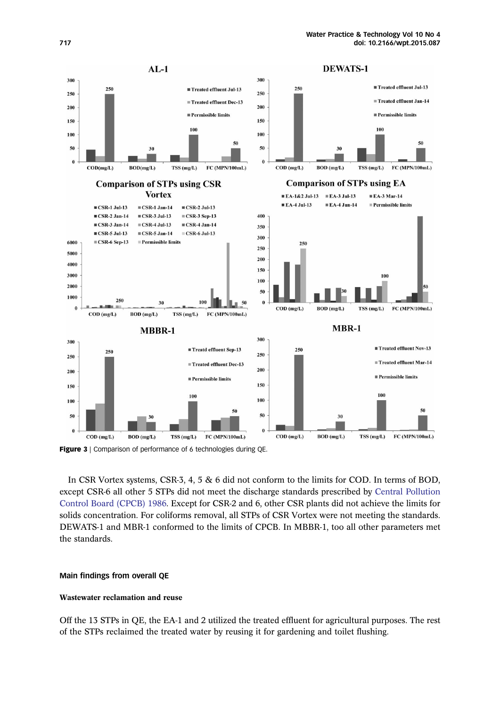

Figure 3 | Comparison of performance of 6 technologies during QE.

In CSR Vortex systems, CSR-3, 4, 5 & 6 did not conform to the limits for COD. In terms of BOD, except CSR-6 all other 5 STPs did not meet the discharge standards prescribed by Central Pollution Control Board (CPCB) 1986. Except for CSR-2 and 6, other CSR plants did not achieve the limits for solids concentration. For coliforms removal, all STPs of CSR Vortex were not meeting the standards. DEWATS-1 and MBR-1 conformed to the limits of CPCB. In MBBR-1, too all other parameters met the standards.

#### Main findings from overall QE

#### Wastewater reclamation and reuse

Off the 13 STPs in QE, the EA-1 and 2 utilized the treated effluent for agricultural purposes. The rest of the STPs reclaimed the treated water by reusing it for gardening and toilet flushing.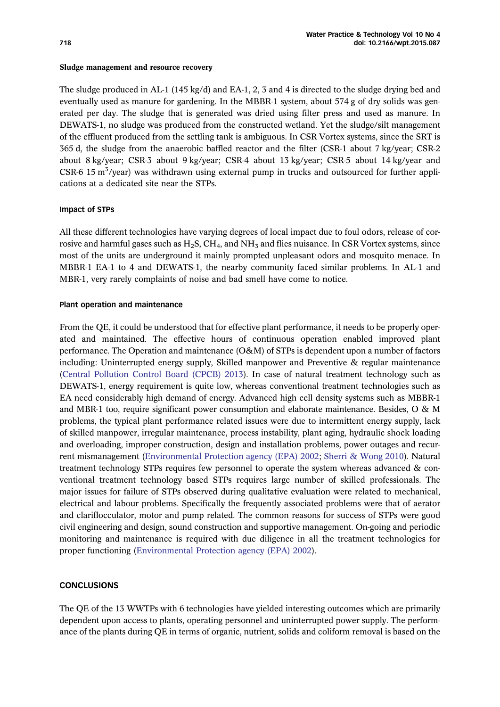#### Sludge management and resource recovery

The sludge produced in AL-1 (145 kg/d) and EA-1, 2, 3 and 4 is directed to the sludge drying bed and eventually used as manure for gardening. In the MBBR-1 system, about 574 g of dry solids was generated per day. The sludge that is generated was dried using filter press and used as manure. In DEWATS-1, no sludge was produced from the constructed wetland. Yet the sludge/silt management of the effluent produced from the settling tank is ambiguous. In CSR Vortex systems, since the SRT is 365 d, the sludge from the anaerobic baffled reactor and the filter (CSR-1 about 7 kg/year; CSR-2 about 8 kg/year; CSR-3 about 9 kg/year; CSR-4 about 13 kg/year; CSR-5 about 14 kg/year and CSR-6 15  $m^3$ /year) was withdrawn using external pump in trucks and outsourced for further applications at a dedicated site near the STPs.

## Impact of STPs

All these different technologies have varying degrees of local impact due to foul odors, release of corrosive and harmful gases such as  $H_2S$ , CH<sub>4</sub>, and NH<sub>3</sub> and flies nuisance. In CSR Vortex systems, since most of the units are underground it mainly prompted unpleasant odors and mosquito menace. In MBBR-1 EA-1 to 4 and DEWATS-1, the nearby community faced similar problems. In AL-1 and MBR-1, very rarely complaints of noise and bad smell have come to notice.

#### Plant operation and maintenance

From the QE, it could be understood that for effective plant performance, it needs to be properly operated and maintained. The effective hours of continuous operation enabled improved plant performance. The Operation and maintenance (O&M) of STPs is dependent upon a number of factors including: Uninterrupted energy supply, Skilled manpower and Preventive & regular maintenance (Central Pollution Control Board (CPCB) 2013). In case of natural treatment technology such as DEWATS-1, energy requirement is quite low, whereas conventional treatment technologies such as EA need considerably high demand of energy. Advanced high cell density systems such as MBBR-1 and MBR-1 too, require significant power consumption and elaborate maintenance. Besides, O & M problems, the typical plant performance related issues were due to intermittent energy supply, lack of skilled manpower, irregular maintenance, process instability, plant aging, hydraulic shock loading and overloading, improper construction, design and installation problems, power outages and recurrent mismanagement (Environmental Protection agency (EPA) 2002; Sherri & Wong 2010). Natural treatment technology STPs requires few personnel to operate the system whereas advanced & conventional treatment technology based STPs requires large number of skilled professionals. The major issues for failure of STPs observed during qualitative evaluation were related to mechanical, electrical and labour problems. Specifically the frequently associated problems were that of aerator and clariflocculator, motor and pump related. The common reasons for success of STPs were good civil engineering and design, sound construction and supportive management. On-going and periodic monitoring and maintenance is required with due diligence in all the treatment technologies for proper functioning (Environmental Protection agency (EPA) 2002).

# **CONCLUSIONS**

The QE of the 13 WWTPs with 6 technologies have yielded interesting outcomes which are primarily dependent upon access to plants, operating personnel and uninterrupted power supply. The performance of the plants during QE in terms of organic, nutrient, solids and coliform removal is based on the